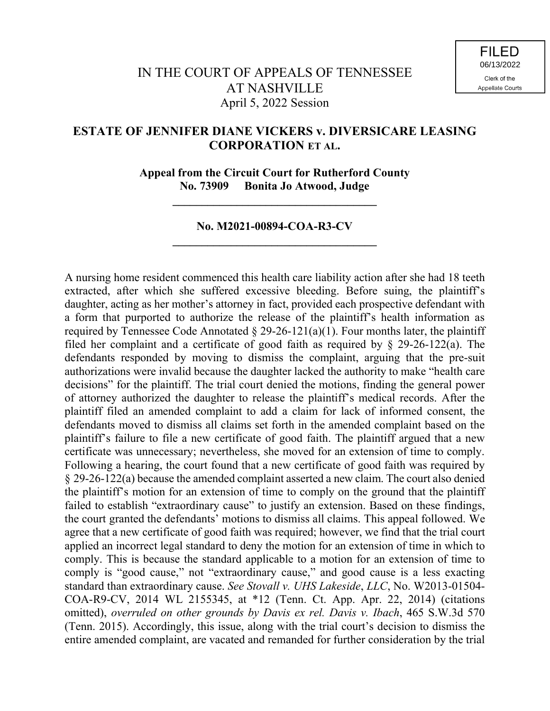# **ESTATE OF JENNIFER DIANE VICKERS v. DIVERSICARE LEASING CORPORATION ET AL.**

**Appeal from the Circuit Court for Rutherford County No. 73909 Bonita Jo Atwood, Judge**

**\_\_\_\_\_\_\_\_\_\_\_\_\_\_\_\_\_\_\_\_\_\_\_\_\_\_\_\_\_\_\_\_\_\_\_**

## **No. M2021-00894-COA-R3-CV \_\_\_\_\_\_\_\_\_\_\_\_\_\_\_\_\_\_\_\_\_\_\_\_\_\_\_\_\_\_\_\_\_\_\_**

A nursing home resident commenced this health care liability action after she had 18 teeth extracted, after which she suffered excessive bleeding. Before suing, the plaintiff's daughter, acting as her mother's attorney in fact, provided each prospective defendant with a form that purported to authorize the release of the plaintiff's health information as required by Tennessee Code Annotated  $\S 29-26-121(a)(1)$ . Four months later, the plaintiff filed her complaint and a certificate of good faith as required by  $\S$  29-26-122(a). The defendants responded by moving to dismiss the complaint, arguing that the pre-suit authorizations were invalid because the daughter lacked the authority to make "health care decisions" for the plaintiff. The trial court denied the motions, finding the general power of attorney authorized the daughter to release the plaintiff's medical records. After the plaintiff filed an amended complaint to add a claim for lack of informed consent, the defendants moved to dismiss all claims set forth in the amended complaint based on the plaintiff's failure to file a new certificate of good faith. The plaintiff argued that a new certificate was unnecessary; nevertheless, she moved for an extension of time to comply. Following a hearing, the court found that a new certificate of good faith was required by § 29-26-122(a) because the amended complaint asserted a new claim. The court also denied the plaintiff's motion for an extension of time to comply on the ground that the plaintiff failed to establish "extraordinary cause" to justify an extension. Based on these findings, the court granted the defendants' motions to dismiss all claims. This appeal followed. We agree that a new certificate of good faith was required; however, we find that the trial court applied an incorrect legal standard to deny the motion for an extension of time in which to comply. This is because the standard applicable to a motion for an extension of time to comply is "good cause," not "extraordinary cause," and good cause is a less exacting standard than extraordinary cause. *See Stovall v. UHS Lakeside*, *LLC*, No. W2013-01504- COA-R9-CV, 2014 WL 2155345, at \*12 (Tenn. Ct. App. Apr. 22, 2014) (citations omitted), *overruled on other grounds by Davis ex rel. Davis v. Ibach*, 465 S.W.3d 570 (Tenn. 2015). Accordingly, this issue, along with the trial court's decision to dismiss the entire amended complaint, are vacated and remanded for further consideration by the trial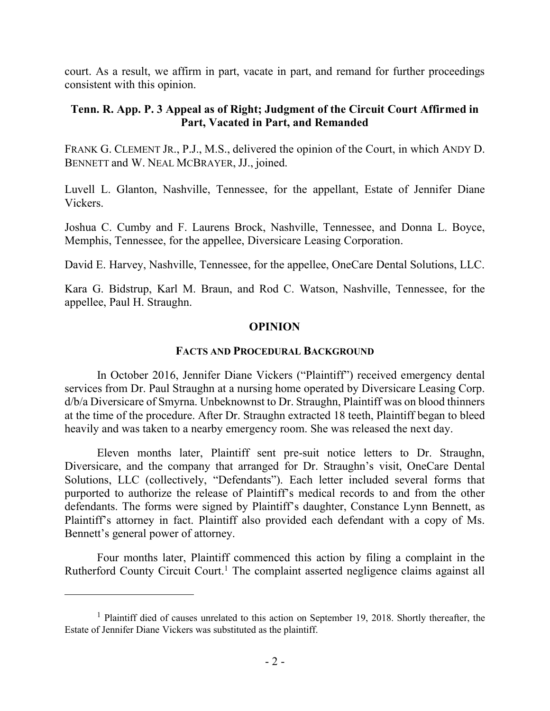court. As a result, we affirm in part, vacate in part, and remand for further proceedings consistent with this opinion.

# **Tenn. R. App. P. 3 Appeal as of Right; Judgment of the Circuit Court Affirmed in Part, Vacated in Part, and Remanded**

FRANK G. CLEMENT JR., P.J., M.S., delivered the opinion of the Court, in which ANDY D. BENNETT and W. NEAL MCBRAYER, JJ., joined.

Luvell L. Glanton, Nashville, Tennessee, for the appellant, Estate of Jennifer Diane Vickers.

Joshua C. Cumby and F. Laurens Brock, Nashville, Tennessee, and Donna L. Boyce, Memphis, Tennessee, for the appellee, Diversicare Leasing Corporation.

David E. Harvey, Nashville, Tennessee, for the appellee, OneCare Dental Solutions, LLC.

Kara G. Bidstrup, Karl M. Braun, and Rod C. Watson, Nashville, Tennessee, for the appellee, Paul H. Straughn.

## **OPINION**

## **FACTS AND PROCEDURAL BACKGROUND**

In October 2016, Jennifer Diane Vickers ("Plaintiff") received emergency dental services from Dr. Paul Straughn at a nursing home operated by Diversicare Leasing Corp. d/b/a Diversicare of Smyrna. Unbeknownst to Dr. Straughn, Plaintiff was on blood thinners at the time of the procedure. After Dr. Straughn extracted 18 teeth, Plaintiff began to bleed heavily and was taken to a nearby emergency room. She was released the next day.

Eleven months later, Plaintiff sent pre-suit notice letters to Dr. Straughn, Diversicare, and the company that arranged for Dr. Straughn's visit, OneCare Dental Solutions, LLC (collectively, "Defendants"). Each letter included several forms that purported to authorize the release of Plaintiff's medical records to and from the other defendants. The forms were signed by Plaintiff's daughter, Constance Lynn Bennett, as Plaintiff's attorney in fact. Plaintiff also provided each defendant with a copy of Ms. Bennett's general power of attorney.

Four months later, Plaintiff commenced this action by filing a complaint in the Rutherford County Circuit Court.<sup>1</sup> The complaint asserted negligence claims against all

 $\overline{a}$ 

<sup>&</sup>lt;sup>1</sup> Plaintiff died of causes unrelated to this action on September 19, 2018. Shortly thereafter, the Estate of Jennifer Diane Vickers was substituted as the plaintiff.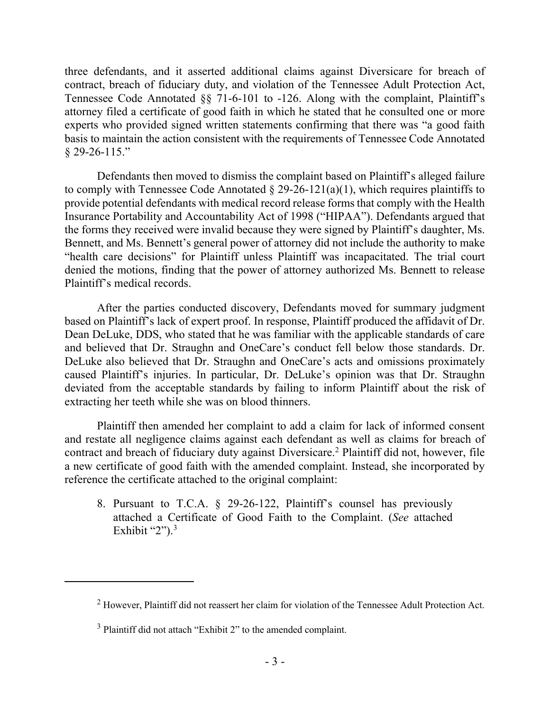three defendants, and it asserted additional claims against Diversicare for breach of contract, breach of fiduciary duty, and violation of the Tennessee Adult Protection Act, Tennessee Code Annotated §§ 71-6-101 to -126. Along with the complaint, Plaintiff's attorney filed a certificate of good faith in which he stated that he consulted one or more experts who provided signed written statements confirming that there was "a good faith basis to maintain the action consistent with the requirements of Tennessee Code Annotated § 29-26-115."

Defendants then moved to dismiss the complaint based on Plaintiff's alleged failure to comply with Tennessee Code Annotated  $\S 29-26-121(a)(1)$ , which requires plaintiffs to provide potential defendants with medical record release forms that comply with the Health Insurance Portability and Accountability Act of 1998 ("HIPAA"). Defendants argued that the forms they received were invalid because they were signed by Plaintiff's daughter, Ms. Bennett, and Ms. Bennett's general power of attorney did not include the authority to make "health care decisions" for Plaintiff unless Plaintiff was incapacitated. The trial court denied the motions, finding that the power of attorney authorized Ms. Bennett to release Plaintiff's medical records.

After the parties conducted discovery, Defendants moved for summary judgment based on Plaintiff's lack of expert proof. In response, Plaintiff produced the affidavit of Dr. Dean DeLuke, DDS, who stated that he was familiar with the applicable standards of care and believed that Dr. Straughn and OneCare's conduct fell below those standards. Dr. DeLuke also believed that Dr. Straughn and OneCare's acts and omissions proximately caused Plaintiff's injuries. In particular, Dr. DeLuke's opinion was that Dr. Straughn deviated from the acceptable standards by failing to inform Plaintiff about the risk of extracting her teeth while she was on blood thinners.

Plaintiff then amended her complaint to add a claim for lack of informed consent and restate all negligence claims against each defendant as well as claims for breach of contract and breach of fiduciary duty against Diversicare. <sup>2</sup> Plaintiff did not, however, file a new certificate of good faith with the amended complaint. Instead, she incorporated by reference the certificate attached to the original complaint:

8. Pursuant to T.C.A. § 29-26-122, Plaintiff's counsel has previously attached a Certificate of Good Faith to the Complaint. (*See* attached Exhibit "2"). $3$ 

 $\overline{a}$ 

 $2$  However, Plaintiff did not reassert her claim for violation of the Tennessee Adult Protection Act.

<sup>&</sup>lt;sup>3</sup> Plaintiff did not attach "Exhibit 2" to the amended complaint.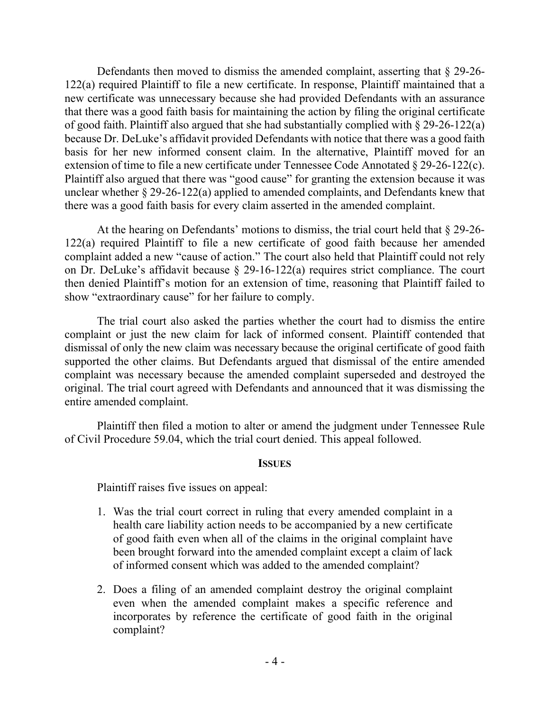Defendants then moved to dismiss the amended complaint, asserting that § 29-26- 122(a) required Plaintiff to file a new certificate. In response, Plaintiff maintained that a new certificate was unnecessary because she had provided Defendants with an assurance that there was a good faith basis for maintaining the action by filing the original certificate of good faith. Plaintiff also argued that she had substantially complied with  $\S 29-26-122(a)$ because Dr. DeLuke's affidavit provided Defendants with notice that there was a good faith basis for her new informed consent claim. In the alternative, Plaintiff moved for an extension of time to file a new certificate under Tennessee Code Annotated § 29-26-122(c). Plaintiff also argued that there was "good cause" for granting the extension because it was unclear whether § 29-26-122(a) applied to amended complaints, and Defendants knew that there was a good faith basis for every claim asserted in the amended complaint.

At the hearing on Defendants' motions to dismiss, the trial court held that § 29-26- 122(a) required Plaintiff to file a new certificate of good faith because her amended complaint added a new "cause of action." The court also held that Plaintiff could not rely on Dr. DeLuke's affidavit because § 29-16-122(a) requires strict compliance. The court then denied Plaintiff's motion for an extension of time, reasoning that Plaintiff failed to show "extraordinary cause" for her failure to comply.

The trial court also asked the parties whether the court had to dismiss the entire complaint or just the new claim for lack of informed consent. Plaintiff contended that dismissal of only the new claim was necessary because the original certificate of good faith supported the other claims. But Defendants argued that dismissal of the entire amended complaint was necessary because the amended complaint superseded and destroyed the original. The trial court agreed with Defendants and announced that it was dismissing the entire amended complaint.

Plaintiff then filed a motion to alter or amend the judgment under Tennessee Rule of Civil Procedure 59.04, which the trial court denied. This appeal followed.

## **ISSUES**

Plaintiff raises five issues on appeal:

- 1. Was the trial court correct in ruling that every amended complaint in a health care liability action needs to be accompanied by a new certificate of good faith even when all of the claims in the original complaint have been brought forward into the amended complaint except a claim of lack of informed consent which was added to the amended complaint?
- 2. Does a filing of an amended complaint destroy the original complaint even when the amended complaint makes a specific reference and incorporates by reference the certificate of good faith in the original complaint?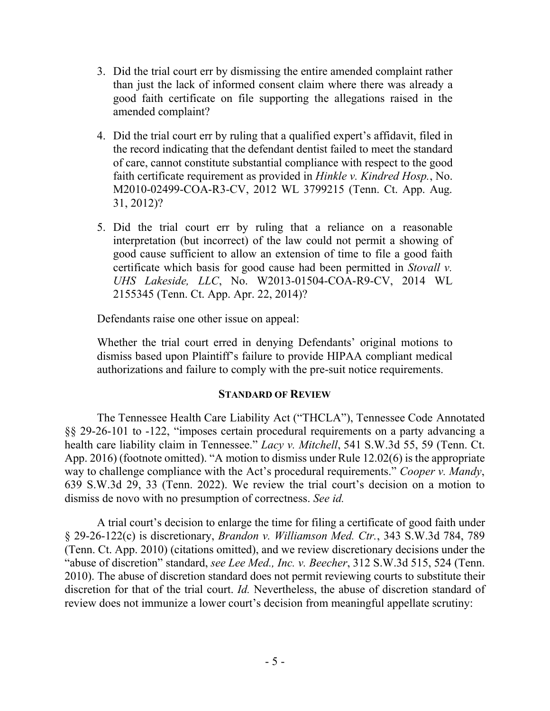- 3. Did the trial court err by dismissing the entire amended complaint rather than just the lack of informed consent claim where there was already a good faith certificate on file supporting the allegations raised in the amended complaint?
- 4. Did the trial court err by ruling that a qualified expert's affidavit, filed in the record indicating that the defendant dentist failed to meet the standard of care, cannot constitute substantial compliance with respect to the good faith certificate requirement as provided in *Hinkle v. Kindred Hosp.*, No. M2010-02499-COA-R3-CV, 2012 WL 3799215 (Tenn. Ct. App. Aug. 31, 2012)?
- 5. Did the trial court err by ruling that a reliance on a reasonable interpretation (but incorrect) of the law could not permit a showing of good cause sufficient to allow an extension of time to file a good faith certificate which basis for good cause had been permitted in *Stovall v. UHS Lakeside, LLC*, No. W2013-01504-COA-R9-CV, 2014 WL 2155345 (Tenn. Ct. App. Apr. 22, 2014)?

Defendants raise one other issue on appeal:

Whether the trial court erred in denying Defendants' original motions to dismiss based upon Plaintiff's failure to provide HIPAA compliant medical authorizations and failure to comply with the pre-suit notice requirements.

## **STANDARD OF REVIEW**

The Tennessee Health Care Liability Act ("THCLA"), Tennessee Code Annotated §§ 29-26-101 to -122, "imposes certain procedural requirements on a party advancing a health care liability claim in Tennessee." *Lacy v. Mitchell*, 541 S.W.3d 55, 59 (Tenn. Ct. App. 2016) (footnote omitted). "A motion to dismiss under Rule 12.02(6) is the appropriate way to challenge compliance with the Act's procedural requirements." *Cooper v. Mandy*, 639 S.W.3d 29, 33 (Tenn. 2022). We review the trial court's decision on a motion to dismiss de novo with no presumption of correctness. *See id.*

A trial court's decision to enlarge the time for filing a certificate of good faith under § 29-26-122(c) is discretionary, *Brandon v. Williamson Med. Ctr.*, 343 S.W.3d 784, 789 (Tenn. Ct. App. 2010) (citations omitted), and we review discretionary decisions under the "abuse of discretion" standard, *see Lee Med., Inc. v. Beecher*, 312 S.W.3d 515, 524 (Tenn. 2010). The abuse of discretion standard does not permit reviewing courts to substitute their discretion for that of the trial court. *Id.* Nevertheless, the abuse of discretion standard of review does not immunize a lower court's decision from meaningful appellate scrutiny: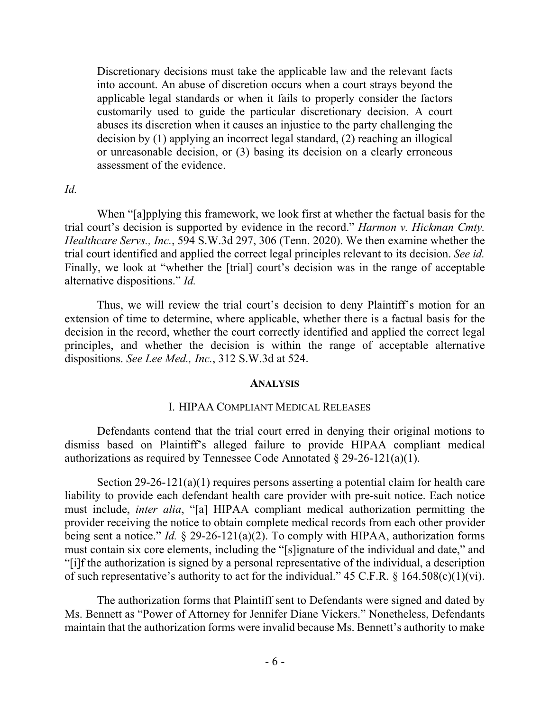Discretionary decisions must take the applicable law and the relevant facts into account. An abuse of discretion occurs when a court strays beyond the applicable legal standards or when it fails to properly consider the factors customarily used to guide the particular discretionary decision. A court abuses its discretion when it causes an injustice to the party challenging the decision by (1) applying an incorrect legal standard, (2) reaching an illogical or unreasonable decision, or (3) basing its decision on a clearly erroneous assessment of the evidence.

## *Id.*

When "[a]pplying this framework, we look first at whether the factual basis for the trial court's decision is supported by evidence in the record." *Harmon v. Hickman Cmty. Healthcare Servs., Inc.*, 594 S.W.3d 297, 306 (Tenn. 2020). We then examine whether the trial court identified and applied the correct legal principles relevant to its decision. *See id.* Finally, we look at "whether the [trial] court's decision was in the range of acceptable alternative dispositions." *Id.*

Thus, we will review the trial court's decision to deny Plaintiff's motion for an extension of time to determine, where applicable, whether there is a factual basis for the decision in the record, whether the court correctly identified and applied the correct legal principles, and whether the decision is within the range of acceptable alternative dispositions. *See Lee Med., Inc.*, 312 S.W.3d at 524.

### **ANALYSIS**

### I. HIPAA COMPLIANT MEDICAL RELEASES

Defendants contend that the trial court erred in denying their original motions to dismiss based on Plaintiff's alleged failure to provide HIPAA compliant medical authorizations as required by Tennessee Code Annotated  $\S 29-26-121(a)(1)$ .

Section 29-26-121(a)(1) requires persons asserting a potential claim for health care liability to provide each defendant health care provider with pre-suit notice. Each notice must include, *inter alia*, "[a] HIPAA compliant medical authorization permitting the provider receiving the notice to obtain complete medical records from each other provider being sent a notice." *Id.* § 29-26-121(a)(2). To comply with HIPAA, authorization forms must contain six core elements, including the "[s]ignature of the individual and date," and "[i]f the authorization is signed by a personal representative of the individual, a description of such representative's authority to act for the individual." 45 C.F.R.  $\S$  164.508(c)(1)(vi).

The authorization forms that Plaintiff sent to Defendants were signed and dated by Ms. Bennett as "Power of Attorney for Jennifer Diane Vickers." Nonetheless, Defendants maintain that the authorization forms were invalid because Ms. Bennett's authority to make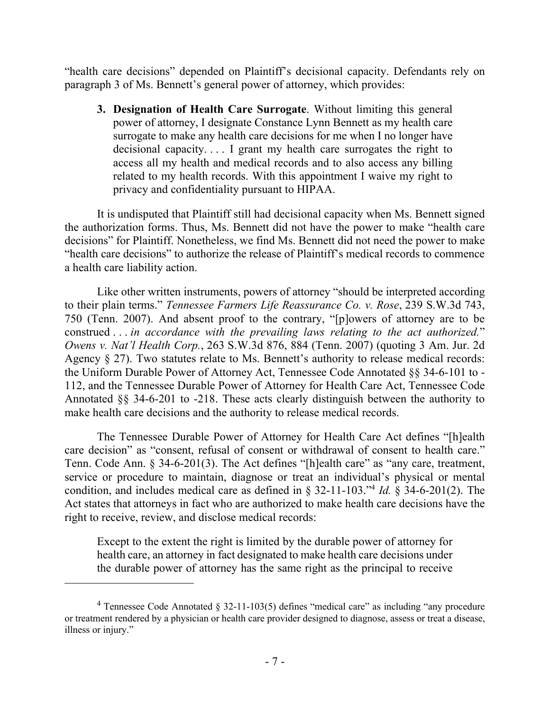"health care decisions" depended on Plaintiff's decisional capacity. Defendants rely on paragraph 3 of Ms. Bennett's general power of attorney, which provides:

**3. Designation of Health Care Surrogate**. Without limiting this general power of attorney, I designate Constance Lynn Bennett as my health care surrogate to make any health care decisions for me when I no longer have decisional capacity. . . . I grant my health care surrogates the right to access all my health and medical records and to also access any billing related to my health records. With this appointment I waive my right to privacy and confidentiality pursuant to HIPAA.

It is undisputed that Plaintiff still had decisional capacity when Ms. Bennett signed the authorization forms. Thus, Ms. Bennett did not have the power to make "health care decisions" for Plaintiff. Nonetheless, we find Ms. Bennett did not need the power to make "health care decisions" to authorize the release of Plaintiff's medical records to commence a health care liability action.

Like other written instruments, powers of attorney "should be interpreted according to their plain terms." *Tennessee Farmers Life Reassurance Co. v. Rose*, 239 S.W.3d 743, 750 (Tenn. 2007). And absent proof to the contrary, "[p]owers of attorney are to be construed . . . *in accordance with the prevailing laws relating to the act authorized.*" *Owens v. Nat'l Health Corp.*, 263 S.W.3d 876, 884 (Tenn. 2007) (quoting 3 Am. Jur. 2d Agency § 27). Two statutes relate to Ms. Bennett's authority to release medical records: the Uniform Durable Power of Attorney Act, Tennessee Code Annotated §§ 34-6-101 to - 112, and the Tennessee Durable Power of Attorney for Health Care Act, Tennessee Code Annotated §§ 34-6-201 to -218. These acts clearly distinguish between the authority to make health care decisions and the authority to release medical records.

The Tennessee Durable Power of Attorney for Health Care Act defines "[h]ealth care decision" as "consent, refusal of consent or withdrawal of consent to health care." Tenn. Code Ann. § 34-6-201(3). The Act defines "[h]ealth care" as "any care, treatment, service or procedure to maintain, diagnose or treat an individual's physical or mental condition, and includes medical care as defined in  $\S 32-11-103$ .<sup>44</sup> *Id.*  $\S 34-6-201(2)$ . The Act states that attorneys in fact who are authorized to make health care decisions have the right to receive, review, and disclose medical records:

Except to the extent the right is limited by the durable power of attorney for health care, an attorney in fact designated to make health care decisions under the durable power of attorney has the same right as the principal to receive

 $\overline{a}$ 

<sup>&</sup>lt;sup>4</sup> Tennessee Code Annotated § 32-11-103(5) defines "medical care" as including "any procedure or treatment rendered by a physician or health care provider designed to diagnose, assess or treat a disease, illness or injury."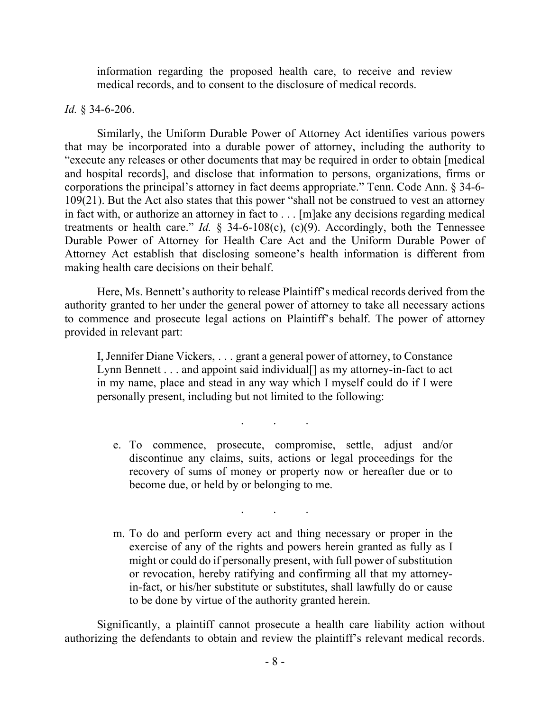information regarding the proposed health care, to receive and review medical records, and to consent to the disclosure of medical records.

## *Id.* § 34-6-206.

Similarly, the Uniform Durable Power of Attorney Act identifies various powers that may be incorporated into a durable power of attorney, including the authority to "execute any releases or other documents that may be required in order to obtain [medical and hospital records], and disclose that information to persons, organizations, firms or corporations the principal's attorney in fact deems appropriate." Tenn. Code Ann. § 34-6- 109(21). But the Act also states that this power "shall not be construed to vest an attorney in fact with, or authorize an attorney in fact to . . . [m]ake any decisions regarding medical treatments or health care." *Id.* § 34-6-108(c), (c)(9). Accordingly, both the Tennessee Durable Power of Attorney for Health Care Act and the Uniform Durable Power of Attorney Act establish that disclosing someone's health information is different from making health care decisions on their behalf.

Here, Ms. Bennett's authority to release Plaintiff's medical records derived from the authority granted to her under the general power of attorney to take all necessary actions to commence and prosecute legal actions on Plaintiff's behalf. The power of attorney provided in relevant part:

I, Jennifer Diane Vickers, . . . grant a general power of attorney, to Constance Lynn Bennett . . . and appoint said individual<sup>[]</sup> as my attorney-in-fact to act in my name, place and stead in any way which I myself could do if I were personally present, including but not limited to the following:

. . .

. . .

- e. To commence, prosecute, compromise, settle, adjust and/or discontinue any claims, suits, actions or legal proceedings for the recovery of sums of money or property now or hereafter due or to become due, or held by or belonging to me.
- m. To do and perform every act and thing necessary or proper in the exercise of any of the rights and powers herein granted as fully as I might or could do if personally present, with full power of substitution or revocation, hereby ratifying and confirming all that my attorneyin-fact, or his/her substitute or substitutes, shall lawfully do or cause to be done by virtue of the authority granted herein.

Significantly, a plaintiff cannot prosecute a health care liability action without authorizing the defendants to obtain and review the plaintiff's relevant medical records.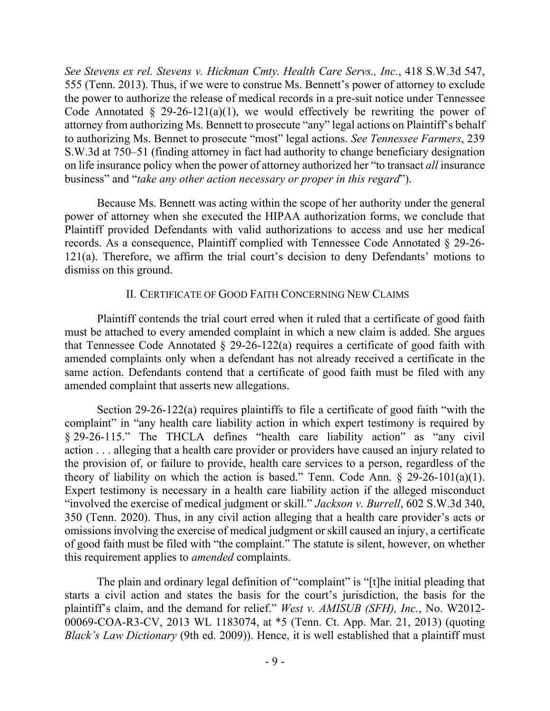*See Stevens ex rel. Stevens v. Hickman Cmty. Health Care Servs., Inc.*, 418 S.W.3d 547, 555 (Tenn. 2013). Thus, if we were to construe Ms. Bennett's power of attorney to exclude the power to authorize the release of medical records in a pre-suit notice under Tennessee Code Annotated § 29-26-121(a)(1), we would effectively be rewriting the power of attorney from authorizing Ms. Bennett to prosecute "any" legal actions on Plaintiff's behalf to authorizing Ms. Bennet to prosecute "most" legal actions. *See Tennessee Farmers*, 239 S.W.3d at 750–51 (finding attorney in fact had authority to change beneficiary designation on life insurance policy when the power of attorney authorized her "to transact *all* insurance business" and "*take any other action necessary or proper in this regard*").

Because Ms. Bennett was acting within the scope of her authority under the general power of attorney when she executed the HIPAA authorization forms, we conclude that Plaintiff provided Defendants with valid authorizations to access and use her medical records. As a consequence, Plaintiff complied with Tennessee Code Annotated § 29-26- 121(a). Therefore, we affirm the trial court's decision to deny Defendants' motions to dismiss on this ground.

## II. CERTIFICATE OF GOOD FAITH CONCERNING NEW CLAIMS

Plaintiff contends the trial court erred when it ruled that a certificate of good faith must be attached to every amended complaint in which a new claim is added. She argues that Tennessee Code Annotated  $\S$  29-26-122(a) requires a certificate of good faith with amended complaints only when a defendant has not already received a certificate in the same action. Defendants contend that a certificate of good faith must be filed with any amended complaint that asserts new allegations.

Section 29-26-122(a) requires plaintiffs to file a certificate of good faith "with the complaint" in "any health care liability action in which expert testimony is required by § 29-26-115." The THCLA defines "health care liability action" as "any civil action . . . alleging that a health care provider or providers have caused an injury related to the provision of, or failure to provide, health care services to a person, regardless of the theory of liability on which the action is based." Tenn. Code Ann.  $\S$  29-26-101(a)(1). Expert testimony is necessary in a health care liability action if the alleged misconduct "involved the exercise of medical judgment or skill." *Jackson v. Burrell*, 602 S.W.3d 340, 350 (Tenn. 2020). Thus, in any civil action alleging that a health care provider's acts or omissions involving the exercise of medical judgment or skill caused an injury, a certificate of good faith must be filed with "the complaint." The statute is silent, however, on whether this requirement applies to *amended* complaints.

The plain and ordinary legal definition of "complaint" is "[t]he initial pleading that starts a civil action and states the basis for the court's jurisdiction, the basis for the plaintiff's claim, and the demand for relief." *West v. AMISUB (SFH), Inc.*, No. W2012- 00069-COA-R3-CV, 2013 WL 1183074, at \*5 (Tenn. Ct. App. Mar. 21, 2013) (quoting *Black's Law Dictionary* (9th ed. 2009)). Hence, it is well established that a plaintiff must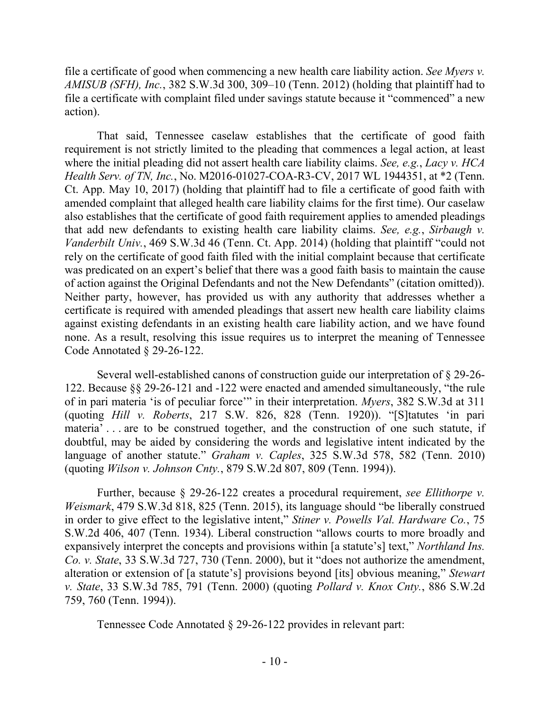file a certificate of good when commencing a new health care liability action. *See Myers v. AMISUB (SFH), Inc.*, 382 S.W.3d 300, 309–10 (Tenn. 2012) (holding that plaintiff had to file a certificate with complaint filed under savings statute because it "commenced" a new action).

That said, Tennessee caselaw establishes that the certificate of good faith requirement is not strictly limited to the pleading that commences a legal action, at least where the initial pleading did not assert health care liability claims. *See, e.g.*, *Lacy v. HCA Health Serv. of TN, Inc.*, No. M2016-01027-COA-R3-CV, 2017 WL 1944351, at \*2 (Tenn. Ct. App. May 10, 2017) (holding that plaintiff had to file a certificate of good faith with amended complaint that alleged health care liability claims for the first time). Our caselaw also establishes that the certificate of good faith requirement applies to amended pleadings that add new defendants to existing health care liability claims. *See, e.g.*, *Sirbaugh v. Vanderbilt Univ.*, 469 S.W.3d 46 (Tenn. Ct. App. 2014) (holding that plaintiff "could not rely on the certificate of good faith filed with the initial complaint because that certificate was predicated on an expert's belief that there was a good faith basis to maintain the cause of action against the Original Defendants and not the New Defendants" (citation omitted)). Neither party, however, has provided us with any authority that addresses whether a certificate is required with amended pleadings that assert new health care liability claims against existing defendants in an existing health care liability action, and we have found none. As a result, resolving this issue requires us to interpret the meaning of Tennessee Code Annotated § 29-26-122.

Several well-established canons of construction guide our interpretation of § 29-26- 122. Because §§ 29-26-121 and -122 were enacted and amended simultaneously, "the rule of in pari materia 'is of peculiar force'" in their interpretation. *Myers*, 382 S.W.3d at 311 (quoting *Hill v. Roberts*, 217 S.W. 826, 828 (Tenn. 1920)). "[S]tatutes 'in pari materia' . . . are to be construed together, and the construction of one such statute, if doubtful, may be aided by considering the words and legislative intent indicated by the language of another statute." *Graham v. Caples*, 325 S.W.3d 578, 582 (Tenn. 2010) (quoting *Wilson v. Johnson Cnty.*, 879 S.W.2d 807, 809 (Tenn. 1994)).

Further, because § 29-26-122 creates a procedural requirement, *see Ellithorpe v. Weismark*, 479 S.W.3d 818, 825 (Tenn. 2015), its language should "be liberally construed in order to give effect to the legislative intent," *Stiner v. Powells Val. Hardware Co.*, 75 S.W.2d 406, 407 (Tenn. 1934). Liberal construction "allows courts to more broadly and expansively interpret the concepts and provisions within [a statute's] text," *Northland Ins. Co. v. State*, 33 S.W.3d 727, 730 (Tenn. 2000), but it "does not authorize the amendment, alteration or extension of [a statute's] provisions beyond [its] obvious meaning," *Stewart v. State*, 33 S.W.3d 785, 791 (Tenn. 2000) (quoting *Pollard v. Knox Cnty.*, 886 S.W.2d 759, 760 (Tenn. 1994)).

Tennessee Code Annotated § 29-26-122 provides in relevant part: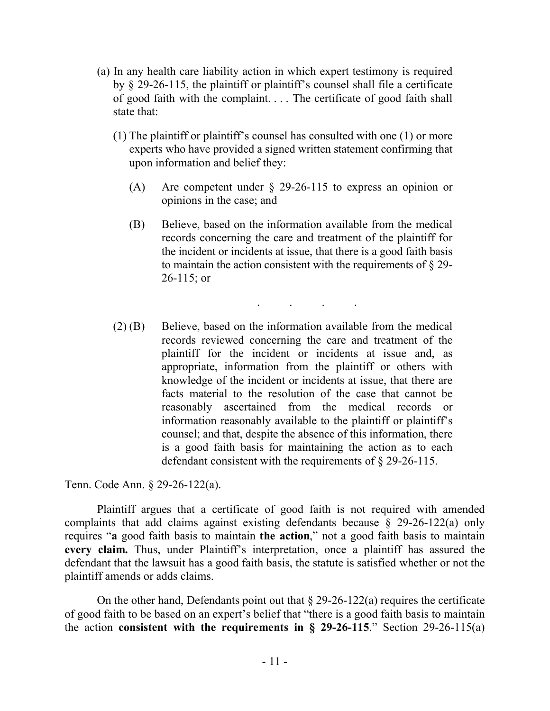- (a) In any health care liability action in which expert testimony is required by § 29-26-115, the plaintiff or plaintiff's counsel shall file a certificate of good faith with the complaint. . . . The certificate of good faith shall state that:
	- (1) The plaintiff or plaintiff's counsel has consulted with one (1) or more experts who have provided a signed written statement confirming that upon information and belief they:
		- (A) Are competent under § 29-26-115 to express an opinion or opinions in the case; and
		- (B) Believe, based on the information available from the medical records concerning the care and treatment of the plaintiff for the incident or incidents at issue, that there is a good faith basis to maintain the action consistent with the requirements of § 29- 26-115; or

. . . .

(2) (B) Believe, based on the information available from the medical records reviewed concerning the care and treatment of the plaintiff for the incident or incidents at issue and, as appropriate, information from the plaintiff or others with knowledge of the incident or incidents at issue, that there are facts material to the resolution of the case that cannot be reasonably ascertained from the medical records or information reasonably available to the plaintiff or plaintiff's counsel; and that, despite the absence of this information, there is a good faith basis for maintaining the action as to each defendant consistent with the requirements of § 29-26-115.

Tenn. Code Ann. § 29-26-122(a).

Plaintiff argues that a certificate of good faith is not required with amended complaints that add claims against existing defendants because  $\S$  29-26-122(a) only requires "**a** good faith basis to maintain **the action**," not a good faith basis to maintain **every claim.** Thus, under Plaintiff's interpretation, once a plaintiff has assured the defendant that the lawsuit has a good faith basis, the statute is satisfied whether or not the plaintiff amends or adds claims.

On the other hand, Defendants point out that  $\S 29-26-122(a)$  requires the certificate of good faith to be based on an expert's belief that "there is a good faith basis to maintain the action **consistent with the requirements in § 29-26-115**." Section 29-26-115(a)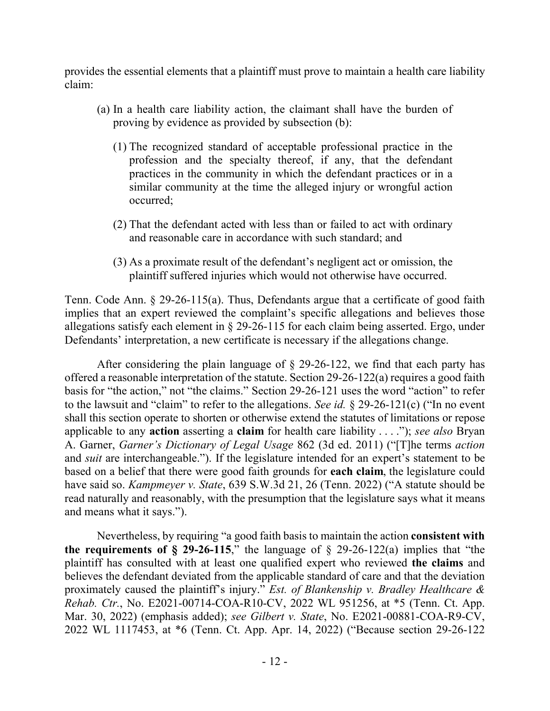provides the essential elements that a plaintiff must prove to maintain a health care liability claim:

- (a) In a health care liability action, the claimant shall have the burden of proving by evidence as provided by subsection (b):
	- (1) The recognized standard of acceptable professional practice in the profession and the specialty thereof, if any, that the defendant practices in the community in which the defendant practices or in a similar community at the time the alleged injury or wrongful action occurred;
	- (2) That the defendant acted with less than or failed to act with ordinary and reasonable care in accordance with such standard; and
	- (3) As a proximate result of the defendant's negligent act or omission, the plaintiff suffered injuries which would not otherwise have occurred.

Tenn. Code Ann. § 29-26-115(a). Thus, Defendants argue that a certificate of good faith implies that an expert reviewed the complaint's specific allegations and believes those allegations satisfy each element in § 29-26-115 for each claim being asserted. Ergo, under Defendants' interpretation, a new certificate is necessary if the allegations change.

After considering the plain language of § 29-26-122, we find that each party has offered a reasonable interpretation of the statute. Section 29-26-122(a) requires a good faith basis for "the action," not "the claims." Section 29-26-121 uses the word "action" to refer to the lawsuit and "claim" to refer to the allegations. *See id.* § 29-26-121(c) ("In no event shall this section operate to shorten or otherwise extend the statutes of limitations or repose applicable to any **action** asserting a **claim** for health care liability . . . ."); *see also* Bryan A. Garner, *Garner's Dictionary of Legal Usage* 862 (3d ed. 2011) ("[T]he terms *action* and *suit* are interchangeable."). If the legislature intended for an expert's statement to be based on a belief that there were good faith grounds for **each claim**, the legislature could have said so. *Kampmeyer v. State*, 639 S.W.3d 21, 26 (Tenn. 2022) ("A statute should be read naturally and reasonably, with the presumption that the legislature says what it means and means what it says.").

Nevertheless, by requiring "a good faith basis to maintain the action **consistent with the requirements of § 29-26-115**," the language of § 29-26-122(a) implies that "the plaintiff has consulted with at least one qualified expert who reviewed **the claims** and believes the defendant deviated from the applicable standard of care and that the deviation proximately caused the plaintiff's injury." *Est. of Blankenship v. Bradley Healthcare & Rehab. Ctr.*, No. E2021-00714-COA-R10-CV, 2022 WL 951256, at \*5 (Tenn. Ct. App. Mar. 30, 2022) (emphasis added); *see Gilbert v. State*, No. E2021-00881-COA-R9-CV, 2022 WL 1117453, at \*6 (Tenn. Ct. App. Apr. 14, 2022) ("Because section 29-26-122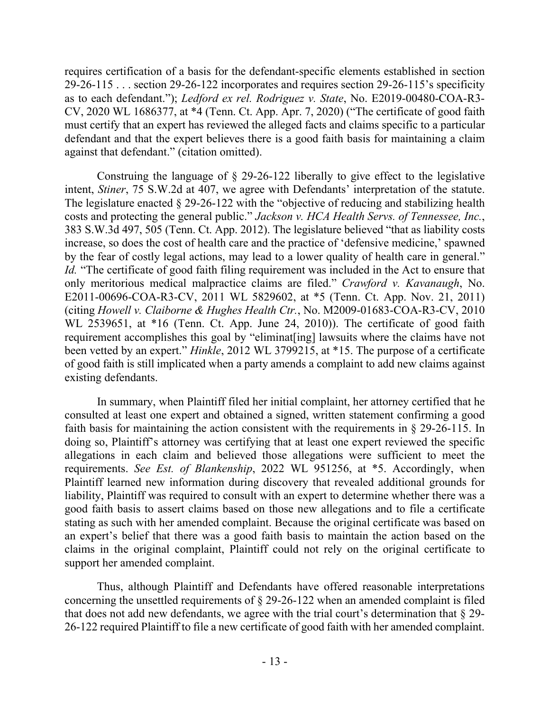requires certification of a basis for the defendant-specific elements established in section 29-26-115 . . . section 29-26-122 incorporates and requires section 29-26-115's specificity as to each defendant."); *Ledford ex rel. Rodriguez v. State*, No. E2019-00480-COA-R3- CV, 2020 WL 1686377, at \*4 (Tenn. Ct. App. Apr. 7, 2020) ("The certificate of good faith must certify that an expert has reviewed the alleged facts and claims specific to a particular defendant and that the expert believes there is a good faith basis for maintaining a claim against that defendant." (citation omitted).

Construing the language of § 29-26-122 liberally to give effect to the legislative intent, *Stiner*, 75 S.W.2d at 407, we agree with Defendants' interpretation of the statute. The legislature enacted  $\S 29-26-122$  with the "objective of reducing and stabilizing health costs and protecting the general public." *Jackson v. HCA Health Servs. of Tennessee, Inc.*, 383 S.W.3d 497, 505 (Tenn. Ct. App. 2012). The legislature believed "that as liability costs increase, so does the cost of health care and the practice of 'defensive medicine,' spawned by the fear of costly legal actions, may lead to a lower quality of health care in general." *Id.* "The certificate of good faith filing requirement was included in the Act to ensure that only meritorious medical malpractice claims are filed." *Crawford v. Kavanaugh*, No. E2011-00696-COA-R3-CV, 2011 WL 5829602, at \*5 (Tenn. Ct. App. Nov. 21, 2011) (citing *Howell v. Claiborne & Hughes Health Ctr.*, No. M2009-01683-COA-R3-CV, 2010 WL 2539651, at \*16 (Tenn. Ct. App. June 24, 2010)). The certificate of good faith requirement accomplishes this goal by "eliminat[ing] lawsuits where the claims have not been vetted by an expert." *Hinkle*, 2012 WL 3799215, at \*15. The purpose of a certificate of good faith is still implicated when a party amends a complaint to add new claims against existing defendants.

In summary, when Plaintiff filed her initial complaint, her attorney certified that he consulted at least one expert and obtained a signed, written statement confirming a good faith basis for maintaining the action consistent with the requirements in § 29-26-115. In doing so, Plaintiff's attorney was certifying that at least one expert reviewed the specific allegations in each claim and believed those allegations were sufficient to meet the requirements. *See Est. of Blankenship*, 2022 WL 951256, at \*5. Accordingly, when Plaintiff learned new information during discovery that revealed additional grounds for liability, Plaintiff was required to consult with an expert to determine whether there was a good faith basis to assert claims based on those new allegations and to file a certificate stating as such with her amended complaint. Because the original certificate was based on an expert's belief that there was a good faith basis to maintain the action based on the claims in the original complaint, Plaintiff could not rely on the original certificate to support her amended complaint.

Thus, although Plaintiff and Defendants have offered reasonable interpretations concerning the unsettled requirements of § 29-26-122 when an amended complaint is filed that does not add new defendants, we agree with the trial court's determination that  $\S$  29-26-122 required Plaintiff to file a new certificate of good faith with her amended complaint.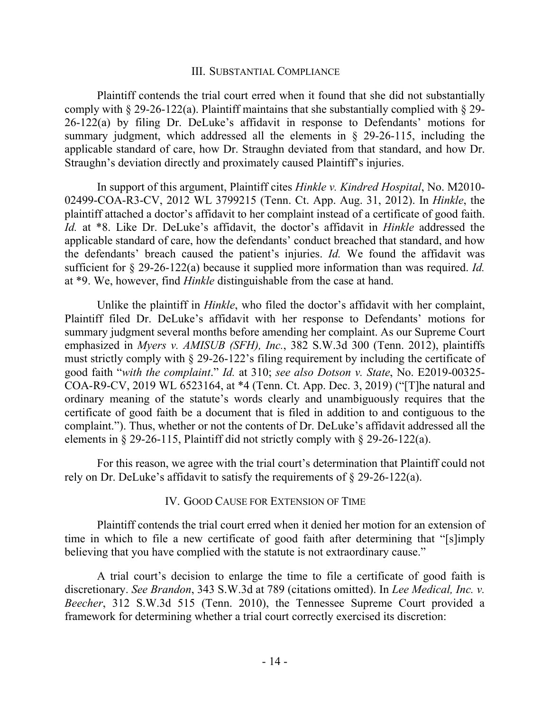#### III. SUBSTANTIAL COMPLIANCE

Plaintiff contends the trial court erred when it found that she did not substantially comply with  $\S 29-26-122(a)$ . Plaintiff maintains that she substantially complied with  $\S 29-$ 26-122(a) by filing Dr. DeLuke's affidavit in response to Defendants' motions for summary judgment, which addressed all the elements in § 29-26-115, including the applicable standard of care, how Dr. Straughn deviated from that standard, and how Dr. Straughn's deviation directly and proximately caused Plaintiff's injuries.

In support of this argument, Plaintiff cites *Hinkle v. Kindred Hospital*, No. M2010- 02499-COA-R3-CV, 2012 WL 3799215 (Tenn. Ct. App. Aug. 31, 2012). In *Hinkle*, the plaintiff attached a doctor's affidavit to her complaint instead of a certificate of good faith. *Id.* at \*8. Like Dr. DeLuke's affidavit, the doctor's affidavit in *Hinkle* addressed the applicable standard of care, how the defendants' conduct breached that standard, and how the defendants' breach caused the patient's injuries. *Id.* We found the affidavit was sufficient for § 29-26-122(a) because it supplied more information than was required. *Id.* at \*9. We, however, find *Hinkle* distinguishable from the case at hand.

Unlike the plaintiff in *Hinkle*, who filed the doctor's affidavit with her complaint, Plaintiff filed Dr. DeLuke's affidavit with her response to Defendants' motions for summary judgment several months before amending her complaint. As our Supreme Court emphasized in *Myers v. AMISUB (SFH), Inc.*, 382 S.W.3d 300 (Tenn. 2012), plaintiffs must strictly comply with § 29-26-122's filing requirement by including the certificate of good faith "*with the complaint*." *Id.* at 310; *see also Dotson v. State*, No. E2019-00325- COA-R9-CV, 2019 WL 6523164, at \*4 (Tenn. Ct. App. Dec. 3, 2019) ("[T]he natural and ordinary meaning of the statute's words clearly and unambiguously requires that the certificate of good faith be a document that is filed in addition to and contiguous to the complaint."). Thus, whether or not the contents of Dr. DeLuke's affidavit addressed all the elements in  $\S 29-26-115$ , Plaintiff did not strictly comply with  $\S 29-26-122(a)$ .

For this reason, we agree with the trial court's determination that Plaintiff could not rely on Dr. DeLuke's affidavit to satisfy the requirements of § 29-26-122(a).

### IV. GOOD CAUSE FOR EXTENSION OF TIME

Plaintiff contends the trial court erred when it denied her motion for an extension of time in which to file a new certificate of good faith after determining that "[s]imply believing that you have complied with the statute is not extraordinary cause."

A trial court's decision to enlarge the time to file a certificate of good faith is discretionary. *See Brandon*, 343 S.W.3d at 789 (citations omitted). In *Lee Medical, Inc. v. Beecher*, 312 S.W.3d 515 (Tenn. 2010), the Tennessee Supreme Court provided a framework for determining whether a trial court correctly exercised its discretion: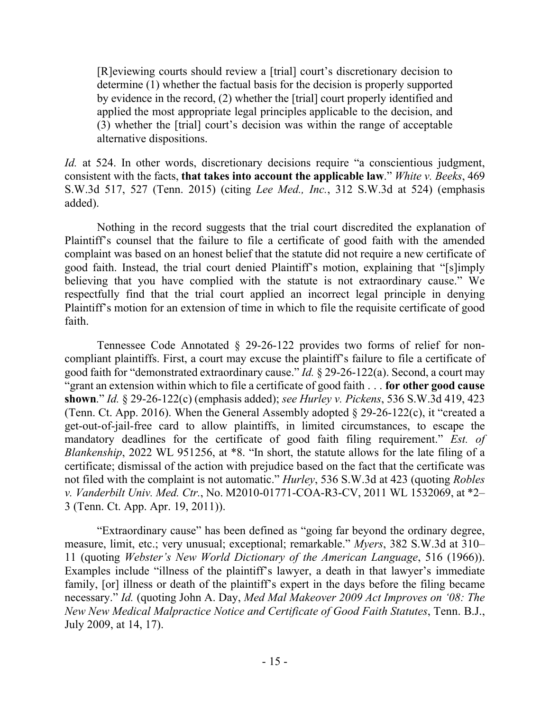[R]eviewing courts should review a [trial] court's discretionary decision to determine (1) whether the factual basis for the decision is properly supported by evidence in the record, (2) whether the [trial] court properly identified and applied the most appropriate legal principles applicable to the decision, and (3) whether the [trial] court's decision was within the range of acceptable alternative dispositions.

*Id.* at 524. In other words, discretionary decisions require "a conscientious judgment, consistent with the facts, **that takes into account the applicable law**." *White v. Beeks*, 469 S.W.3d 517, 527 (Tenn. 2015) (citing *Lee Med., Inc.*, 312 S.W.3d at 524) (emphasis added).

Nothing in the record suggests that the trial court discredited the explanation of Plaintiff's counsel that the failure to file a certificate of good faith with the amended complaint was based on an honest belief that the statute did not require a new certificate of good faith. Instead, the trial court denied Plaintiff's motion, explaining that "[s]imply believing that you have complied with the statute is not extraordinary cause." We respectfully find that the trial court applied an incorrect legal principle in denying Plaintiff's motion for an extension of time in which to file the requisite certificate of good faith.

Tennessee Code Annotated § 29-26-122 provides two forms of relief for noncompliant plaintiffs. First, a court may excuse the plaintiff's failure to file a certificate of good faith for "demonstrated extraordinary cause." *Id.* § 29-26-122(a). Second, a court may "grant an extension within which to file a certificate of good faith . . . **for other good cause shown**." *Id.* § 29-26-122(c) (emphasis added); *see Hurley v. Pickens*, 536 S.W.3d 419, 423 (Tenn. Ct. App. 2016). When the General Assembly adopted § 29-26-122(c), it "created a get-out-of-jail-free card to allow plaintiffs, in limited circumstances, to escape the mandatory deadlines for the certificate of good faith filing requirement." *Est. of Blankenship*, 2022 WL 951256, at \*8. "In short, the statute allows for the late filing of a certificate; dismissal of the action with prejudice based on the fact that the certificate was not filed with the complaint is not automatic." *Hurley*, 536 S.W.3d at 423 (quoting *Robles v. Vanderbilt Univ. Med. Ctr.*, No. M2010-01771-COA-R3-CV, 2011 WL 1532069, at \*2– 3 (Tenn. Ct. App. Apr. 19, 2011)).

"Extraordinary cause" has been defined as "going far beyond the ordinary degree, measure, limit, etc.; very unusual; exceptional; remarkable." *Myers*, 382 S.W.3d at 310– 11 (quoting *Webster's New World Dictionary of the American Language*, 516 (1966)). Examples include "illness of the plaintiff's lawyer, a death in that lawyer's immediate family, [or] illness or death of the plaintiff's expert in the days before the filing became necessary." *Id.* (quoting John A. Day, *Med Mal Makeover 2009 Act Improves on '08: The New New Medical Malpractice Notice and Certificate of Good Faith Statutes*, Tenn. B.J., July 2009, at 14, 17).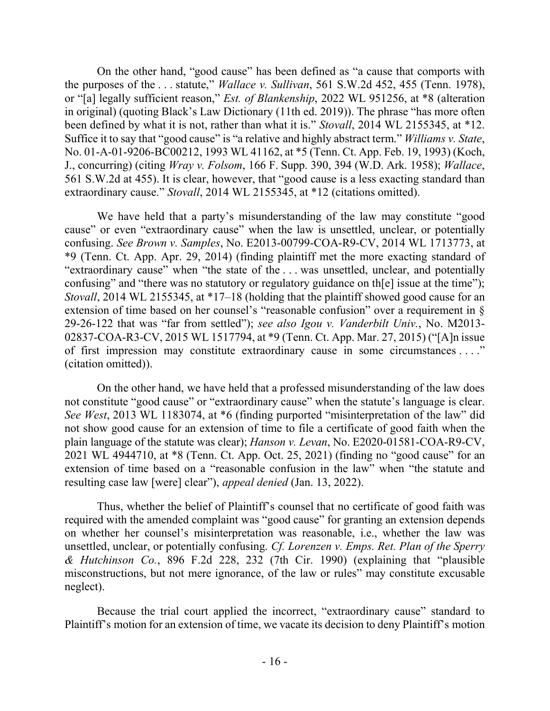On the other hand, "good cause" has been defined as "a cause that comports with the purposes of the . . . statute," *Wallace v. Sullivan*, 561 S.W.2d 452, 455 (Tenn. 1978), or "[a] legally sufficient reason," *Est. of Blankenship*, 2022 WL 951256, at \*8 (alteration in original) (quoting Black's Law Dictionary (11th ed. 2019)). The phrase "has more often been defined by what it is not, rather than what it is." *Stovall*, 2014 WL 2155345, at \*12. Suffice it to say that "good cause" is "a relative and highly abstract term." *Williams v. State*, No. 01-A-01-9206-BC00212, 1993 WL 41162, at \*5 (Tenn. Ct. App. Feb. 19, 1993) (Koch, J., concurring) (citing *Wray v. Folsom*, 166 F. Supp. 390, 394 (W.D. Ark. 1958); *Wallace*, 561 S.W.2d at 455). It is clear, however, that "good cause is a less exacting standard than extraordinary cause." *Stovall*, 2014 WL 2155345, at \*12 (citations omitted).

We have held that a party's misunderstanding of the law may constitute "good cause" or even "extraordinary cause" when the law is unsettled, unclear, or potentially confusing. *See Brown v. Samples*, No. E2013-00799-COA-R9-CV, 2014 WL 1713773, at \*9 (Tenn. Ct. App. Apr. 29, 2014) (finding plaintiff met the more exacting standard of "extraordinary cause" when "the state of the . . . was unsettled, unclear, and potentially confusing" and "there was no statutory or regulatory guidance on the l issue at the time"); *Stovall*, 2014 WL 2155345, at \*17–18 (holding that the plaintiff showed good cause for an extension of time based on her counsel's "reasonable confusion" over a requirement in § 29-26-122 that was "far from settled"); *see also Igou v. Vanderbilt Univ.*, No. M2013- 02837-COA-R3-CV, 2015 WL 1517794, at \*9 (Tenn. Ct. App. Mar. 27, 2015) ("[A]n issue of first impression may constitute extraordinary cause in some circumstances . . . ." (citation omitted)).

On the other hand, we have held that a professed misunderstanding of the law does not constitute "good cause" or "extraordinary cause" when the statute's language is clear. *See West*, 2013 WL 1183074, at \*6 (finding purported "misinterpretation of the law" did not show good cause for an extension of time to file a certificate of good faith when the plain language of the statute was clear); *Hanson v. Levan*, No. E2020-01581-COA-R9-CV, 2021 WL 4944710, at \*8 (Tenn. Ct. App. Oct. 25, 2021) (finding no "good cause" for an extension of time based on a "reasonable confusion in the law" when "the statute and resulting case law [were] clear"), *appeal denied* (Jan. 13, 2022).

Thus, whether the belief of Plaintiff's counsel that no certificate of good faith was required with the amended complaint was "good cause" for granting an extension depends on whether her counsel's misinterpretation was reasonable, i.e., whether the law was unsettled, unclear, or potentially confusing. *Cf. Lorenzen v. Emps. Ret. Plan of the Sperry & Hutchinson Co.*, 896 F.2d 228, 232 (7th Cir. 1990) (explaining that "plausible misconstructions, but not mere ignorance, of the law or rules" may constitute excusable neglect).

Because the trial court applied the incorrect, "extraordinary cause" standard to Plaintiff's motion for an extension of time, we vacate its decision to deny Plaintiff's motion